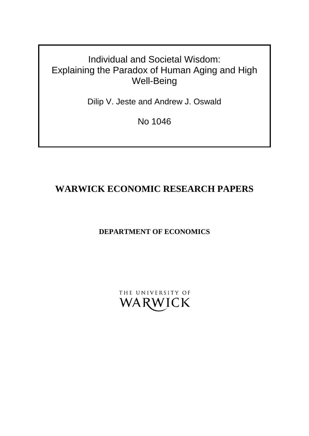# Individual and Societal Wisdom: Explaining the Paradox of Human Aging and High Well-Being

Dilip V. Jeste and Andrew J. Oswald

No 1046

# **WARWICK ECONOMIC RESEARCH PAPERS**

**DEPARTMENT OF ECONOMICS**

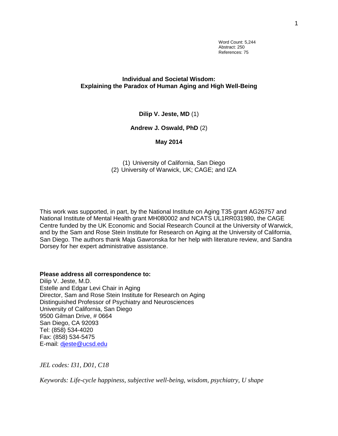Word Count: 5,244 Abstract: 250 References: 75

# **Individual and Societal Wisdom: Explaining the Paradox of Human Aging and High Well-Being**

**Dilip V. Jeste, MD** (1)

**Andrew J. Oswald, PhD** (2)

## **May 2014**

(1) University of California, San Diego (2) University of Warwick, UK; CAGE; and IZA

This work was supported, in part, by the National Institute on Aging T35 grant AG26757 and National Institute of Mental Health grant MH080002 and NCATS UL1RR031980, the CAGE Centre funded by the UK Economic and Social Research Council at the University of Warwick, and by the Sam and Rose Stein Institute for Research on Aging at the University of California, San Diego. The authors thank Maja Gawronska for her help with literature review, and Sandra Dorsey for her expert administrative assistance.

**Please address all correspondence to:**

Dilip V. Jeste, M.D. Estelle and Edgar Levi Chair in Aging Director, Sam and Rose Stein Institute for Research on Aging Distinguished Professor of Psychiatry and Neurosciences University of California, San Diego 9500 Gilman Drive, # 0664 San Diego, CA 92093 Tel: (858) 534-4020 Fax: (858) 534-5475 E-mail: [djeste@ucsd.edu](mailto:djeste@ucsd.edu)

*JEL codes: I31, D01, C18*

*Keywords: Life-cycle happiness, subjective well-being, wisdom, psychiatry, U shape*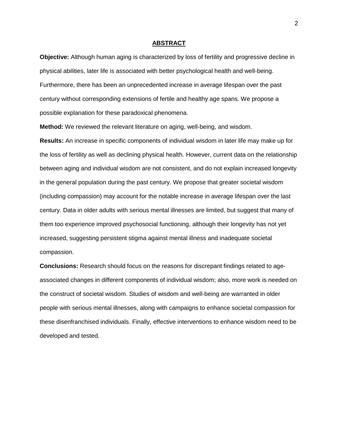#### **ABSTRACT**

**Objective:** Although human aging is characterized by loss of fertility and progressive decline in physical abilities, later life is associated with better psychological health and well-being. Furthermore, there has been an unprecedented increase in average lifespan over the past century without corresponding extensions of fertile and healthy age spans. We propose a possible explanation for these paradoxical phenomena.

**Method:** We reviewed the relevant literature on aging, well-being, and wisdom.

**Results:** An increase in specific components of individual wisdom in later life may make up for the loss of fertility as well as declining physical health. However, current data on the relationship between aging and individual wisdom are not consistent, and do not explain increased longevity in the general population during the past century. We propose that greater societal wisdom (including compassion) may account for the notable increase in average lifespan over the last century. Data in older adults with serious mental illnesses are limited, but suggest that many of them too experience improved psychosocial functioning, although their longevity has not yet increased, suggesting persistent stigma against mental illness and inadequate societal compassion.

**Conclusions:** Research should focus on the reasons for discrepant findings related to ageassociated changes in different components of individual wisdom; also, more work is needed on the construct of societal wisdom. Studies of wisdom and well-being are warranted in older people with serious mental illnesses, along with campaigns to enhance societal compassion for these disenfranchised individuals. Finally, effective interventions to enhance wisdom need to be developed and tested.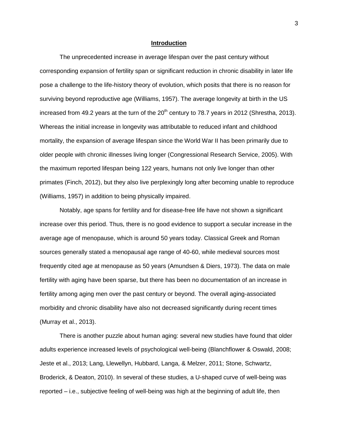#### **Introduction**

The unprecedented increase in average lifespan over the past century without corresponding expansion of fertility span or significant reduction in chronic disability in later life pose a challenge to the life-history theory of evolution, which posits that there is no reason for surviving beyond reproductive age (Williams, 1957). The average longevity at birth in the US increased from 49.2 years at the turn of the  $20<sup>th</sup>$  century to 78.7 years in 2012 (Shrestha, 2013). Whereas the initial increase in longevity was attributable to reduced infant and childhood mortality, the expansion of average lifespan since the World War II has been primarily due to older people with chronic illnesses living longer (Congressional Research Service, 2005). With the maximum reported lifespan being 122 years, humans not only live longer than other primates (Finch, 2012), but they also live perplexingly long after becoming unable to reproduce (Williams, 1957) in addition to being physically impaired.

Notably, age spans for fertility and for disease-free life have not shown a significant increase over this period. Thus, there is no good evidence to support a secular increase in the average age of menopause, which is around 50 years today. Classical Greek and Roman sources generally stated a menopausal age range of 40-60, while medieval sources most frequently cited age at menopause as 50 years (Amundsen & Diers, 1973). The data on male fertility with aging have been sparse, but there has been no documentation of an increase in fertility among aging men over the past century or beyond. The overall aging-associated morbidity and chronic disability have also not decreased significantly during recent times (Murray et al., 2013).

There is another puzzle about human aging: several new studies have found that older adults experience increased levels of psychological well-being (Blanchflower & Oswald, 2008; Jeste et al., 2013; Lang, Llewellyn, Hubbard, Langa, & Melzer, 2011; Stone, Schwartz, Broderick, & Deaton, 2010). In several of these studies, a U-shaped curve of well-being was reported – i.e., subjective feeling of well-being was high at the beginning of adult life, then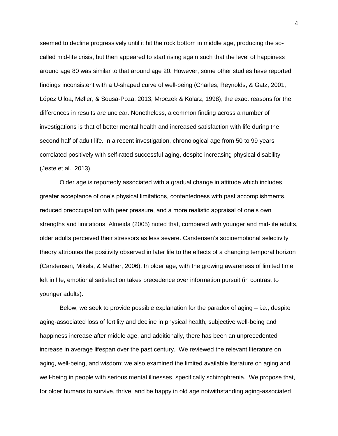seemed to decline progressively until it hit the rock bottom in middle age, producing the socalled mid-life crisis, but then appeared to start rising again such that the level of happiness around age 80 was similar to that around age 20. However, some other studies have reported findings inconsistent with a U-shaped curve of well-being (Charles, Reynolds, & Gatz, 2001; López Ulloa, Møller, & Sousa-Poza, 2013; Mroczek & Kolarz, 1998); the exact reasons for the differences in results are unclear. Nonetheless, a common finding across a number of investigations is that of better mental health and increased satisfaction with life during the second half of adult life. In a recent investigation, chronological age from 50 to 99 years correlated positively with self-rated successful aging, despite increasing physical disability (Jeste et al., 2013).

Older age is reportedly associated with a gradual change in attitude which includes greater acceptance of one's physical limitations, contentedness with past accomplishments, reduced preoccupation with peer pressure, and a more realistic appraisal of one's own strengths and limitations. Almeida (2005) noted that, compared with younger and mid-life adults, older adults perceived their stressors as less severe. Carstensen's socioemotional selectivity theory attributes the positivity observed in later life to the effects of a changing temporal horizon (Carstensen, Mikels, & Mather, 2006). In older age, with the growing awareness of limited time left in life, emotional satisfaction takes precedence over information pursuit (in contrast to younger adults).

Below, we seek to provide possible explanation for the paradox of aging – i.e., despite aging-associated loss of fertility and decline in physical health, subjective well-being and happiness increase after middle age, and additionally, there has been an unprecedented increase in average lifespan over the past century. We reviewed the relevant literature on aging, well-being, and wisdom; we also examined the limited available literature on aging and well-being in people with serious mental illnesses, specifically schizophrenia. We propose that, for older humans to survive, thrive, and be happy in old age notwithstanding aging-associated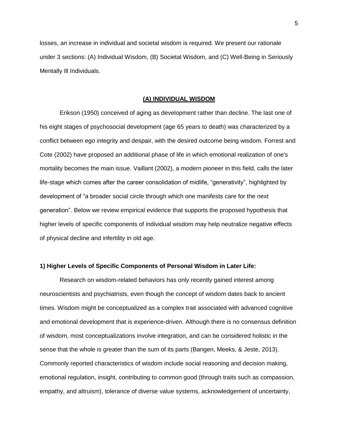losses, an increase in individual and societal wisdom is required. We present our rationale under 3 sections: (A) Individual Wisdom, (B) Societal Wisdom, and (C) Well-Being in Seriously Mentally Ill Individuals.

#### **(A) INDIVIDUAL WISDOM**

Erikson (1950) conceived of aging as development rather than decline. The last one of his eight stages of psychosocial development (age 65 years to death) was characterized by a conflict between ego integrity and despair, with the desired outcome being wisdom. Forrest and Cote (2002) have proposed an additional phase of life in which emotional realization of one's mortality becomes the main issue. Vaillant (2002), a modern pioneer in this field, calls the later life-stage which comes after the career consolidation of midlife, "generativity", highlighted by development of "a broader social circle through which one manifests care for the next generation". Below we review empirical evidence that supports the proposed hypothesis that higher levels of specific components of individual wisdom may help neutralize negative effects of physical decline and infertility in old age.

#### **1) Higher Levels of Specific Components of Personal Wisdom in Later Life:**

Research on wisdom-related behaviors has only recently gained interest among neuroscientists and psychiatrists, even though the concept of wisdom dates back to ancient times. Wisdom might be conceptualized as a complex trait associated with advanced cognitive and emotional development that is experience-driven. Although there is no consensus definition of wisdom, most conceptualizations involve integration, and can be considered holistic in the sense that the whole is greater than the sum of its parts (Bangen, Meeks, & Jeste, 2013). Commonly reported characteristics of wisdom include social reasoning and decision making, emotional regulation, insight, contributing to common good (through traits such as compassion, empathy, and altruism), tolerance of diverse value systems, acknowledgement of uncertainty,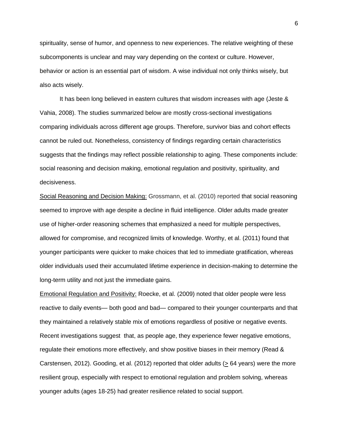spirituality, sense of humor, and openness to new experiences. The relative weighting of these subcomponents is unclear and may vary depending on the context or culture. However, behavior or action is an essential part of wisdom. A wise individual not only thinks wisely, but also acts wisely.

It has been long believed in eastern cultures that wisdom increases with age (Jeste & Vahia, 2008). The studies summarized below are mostly cross-sectional investigations comparing individuals across different age groups. Therefore, survivor bias and cohort effects cannot be ruled out. Nonetheless, consistency of findings regarding certain characteristics suggests that the findings may reflect possible relationship to aging. These components include: social reasoning and decision making, emotional regulation and positivity, spirituality, and decisiveness.

Social Reasoning and Decision Making: Grossmann, et al. (2010) reported that social reasoning seemed to improve with age despite a decline in fluid intelligence. Older adults made greater use of higher-order reasoning schemes that emphasized a need for multiple perspectives, allowed for compromise, and recognized limits of knowledge. Worthy, et al. (2011) found that younger participants were quicker to make choices that led to immediate gratification, whereas older individuals used their accumulated lifetime experience in decision-making to determine the long-term utility and not just the immediate gains.

Emotional Regulation and Positivity: Roecke, et al. (2009) noted that older people were less reactive to daily events— both good and bad— compared to their younger counterparts and that they maintained a relatively stable mix of emotions regardless of positive or negative events. Recent investigations suggest that, as people age, they experience fewer negative emotions, regulate their emotions more effectively, and show positive biases in their memory (Read & Carstensen, 2012). Gooding, et al. (2012) reported that older adults (> 64 years) were the more resilient group, especially with respect to emotional regulation and problem solving, whereas younger adults (ages 18-25) had greater resilience related to social support.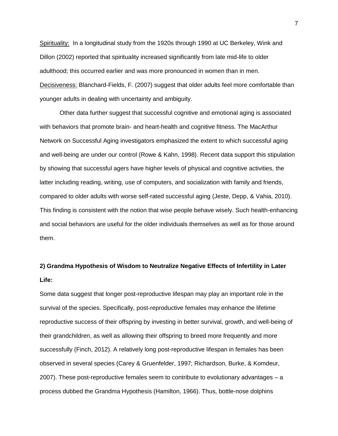Spirituality: In a longitudinal study from the 1920s through 1990 at UC Berkeley, Wink and Dillon (2002) reported that spirituality increased significantly from late mid-life to older adulthood; this occurred earlier and was more pronounced in women than in men. Decisiveness: Blanchard-Fields, F. (2007) suggest that older adults feel more comfortable than younger adults in dealing with uncertainty and ambiguity.

Other data further suggest that successful cognitive and emotional aging is associated with behaviors that promote brain- and heart-health and cognitive fitness. The MacArthur Network on Successful Aging investigators emphasized the extent to which successful aging and well-being are under our control (Rowe & Kahn, 1998). Recent data support this stipulation by showing that successful agers have higher levels of physical and cognitive activities, the latter including reading, writing, use of computers, and socialization with family and friends, compared to older adults with worse self-rated successful aging (Jeste, Depp, & Vahia, 2010). This finding is consistent with the notion that wise people behave wisely. Such health-enhancing and social behaviors are useful for the older individuals themselves as well as for those around them.

# **2) Grandma Hypothesis of Wisdom to Neutralize Negative Effects of Infertility in Later Life:**

Some data suggest that longer post-reproductive lifespan may play an important role in the survival of the species. Specifically, post-reproductive females may enhance the lifetime reproductive success of their offspring by investing in better survival, growth, and well-being of their grandchildren, as well as allowing their offspring to breed more frequently and more successfully (Finch, 2012). A relatively long post-reproductive lifespan in females has been observed in several species (Carey & Gruenfelder, 1997; Richardson, Burke, & Komdeur, 2007). These post-reproductive females seem to contribute to evolutionary advantages – a process dubbed the Grandma Hypothesis (Hamilton, 1966). Thus, bottle-nose dolphins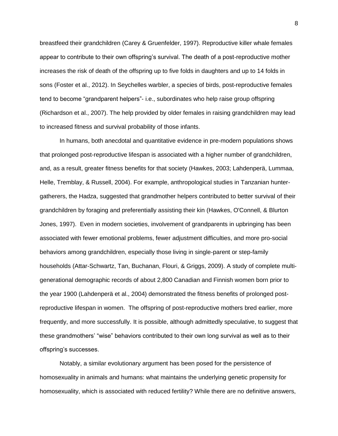breastfeed their grandchildren (Carey & Gruenfelder, 1997). Reproductive killer whale females appear to contribute to their own offspring's survival. The death of a post-reproductive mother increases the risk of death of the offspring up to five folds in daughters and up to 14 folds in sons (Foster et al., 2012). In Seychelles warbler, a species of birds, post-reproductive females tend to become "grandparent helpers"- i.e., subordinates who help raise group offspring (Richardson et al., 2007). The help provided by older females in raising grandchildren may lead to increased fitness and survival probability of those infants.

In humans, both anecdotal and quantitative evidence in pre-modern populations shows that prolonged post-reproductive lifespan is associated with a higher number of grandchildren, and, as a result, greater fitness benefits for that society (Hawkes, 2003; Lahdenperä, Lummaa, Helle, Tremblay, & Russell, 2004). For example, anthropological studies in Tanzanian huntergatherers, the Hadza, suggested that grandmother helpers contributed to better survival of their grandchildren by foraging and preferentially assisting their kin (Hawkes, O'Connell, & Blurton Jones, 1997). Even in modern societies, involvement of grandparents in upbringing has been associated with fewer emotional problems, fewer adjustment difficulties, and more pro-social behaviors among grandchildren, especially those living in single-parent or step-family households (Attar-Schwartz, Tan, Buchanan, Flouri, & Griggs, 2009). A study of complete multigenerational demographic records of about 2,800 Canadian and Finnish women born prior to the year 1900 (Lahdenperä et al., 2004) demonstrated the fitness benefits of prolonged postreproductive lifespan in women. The offspring of post-reproductive mothers bred earlier, more frequently, and more successfully. It is possible, although admittedly speculative, to suggest that these grandmothers' "wise" behaviors contributed to their own long survival as well as to their offspring's successes.

Notably, a similar evolutionary argument has been posed for the persistence of homosexuality in animals and humans: what maintains the underlying genetic propensity for homosexuality, which is associated with reduced fertility? While there are no definitive answers,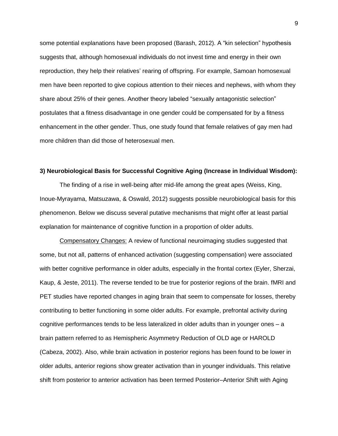some potential explanations have been proposed (Barash, 2012). A "kin selection" hypothesis suggests that, although homosexual individuals do not invest time and energy in their own reproduction, they help their relatives' rearing of offspring. For example, Samoan homosexual men have been reported to give copious attention to their nieces and nephews, with whom they share about 25% of their genes. Another theory labeled "sexually antagonistic selection" postulates that a fitness disadvantage in one gender could be compensated for by a fitness enhancement in the other gender. Thus, one study found that female relatives of gay men had more children than did those of heterosexual men.

#### **3) Neurobiological Basis for Successful Cognitive Aging (Increase in Individual Wisdom):**

The finding of a rise in well-being after mid-life among the great apes (Weiss, King, Inoue-Myrayama, Matsuzawa, & Oswald, 2012) suggests possible neurobiological basis for this phenomenon. Below we discuss several putative mechanisms that might offer at least partial explanation for maintenance of cognitive function in a proportion of older adults.

Compensatory Changes: A review of functional neuroimaging studies suggested that some, but not all, patterns of enhanced activation (suggesting compensation) were associated with better cognitive performance in older adults, especially in the frontal cortex (Eyler, Sherzai, Kaup, & Jeste, 2011). The reverse tended to be true for posterior regions of the brain. fMRI and PET studies have reported changes in aging brain that seem to compensate for losses, thereby contributing to better functioning in some older adults. For example, prefrontal activity during cognitive performances tends to be less lateralized in older adults than in younger ones – a brain pattern referred to as Hemispheric Asymmetry Reduction of OLD age or HAROLD (Cabeza, 2002). Also, while brain activation in posterior regions has been found to be lower in older adults, anterior regions show greater activation than in younger individuals. This relative shift from posterior to anterior activation has been termed Posterior–Anterior Shift with Aging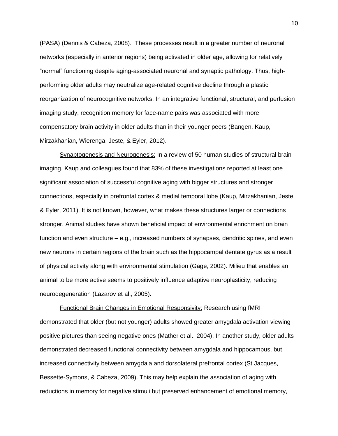(PASA) (Dennis & Cabeza, 2008). These processes result in a greater number of neuronal networks (especially in anterior regions) being activated in older age, allowing for relatively "normal" functioning despite aging-associated neuronal and synaptic pathology. Thus, highperforming older adults may neutralize age-related cognitive decline through a plastic reorganization of neurocognitive networks. In an integrative functional, structural, and perfusion imaging study, recognition memory for face-name pairs was associated with more compensatory brain activity in older adults than in their younger peers (Bangen, Kaup, Mirzakhanian, Wierenga, Jeste, & Eyler, 2012).

Synaptogenesis and Neurogenesis: In a review of 50 human studies of structural brain imaging, Kaup and colleagues found that 83% of these investigations reported at least one significant association of successful cognitive aging with bigger structures and stronger connections, especially in prefrontal cortex & medial temporal lobe (Kaup, Mirzakhanian, Jeste, & Eyler, 2011). It is not known, however, what makes these structures larger or connections stronger. Animal studies have shown beneficial impact of environmental enrichment on brain function and even structure – e.g., increased numbers of synapses, dendritic spines, and even new neurons in certain regions of the brain such as the hippocampal dentate gyrus as a result of physical activity along with environmental stimulation (Gage, 2002). Milieu that enables an animal to be more active seems to positively influence adaptive neuroplasticity, reducing neurodegeneration (Lazarov et al., 2005).

Functional Brain Changes in Emotional Responsivity: Research using fMRI demonstrated that older (but not younger) adults showed greater amygdala activation viewing positive pictures than seeing negative ones (Mather et al., 2004). In another study, older adults demonstrated decreased functional connectivity between amygdala and hippocampus, but increased connectivity between amygdala and dorsolateral prefrontal cortex (St Jacques, Bessette-Symons, & Cabeza, 2009). This may help explain the association of aging with reductions in memory for negative stimuli but preserved enhancement of emotional memory,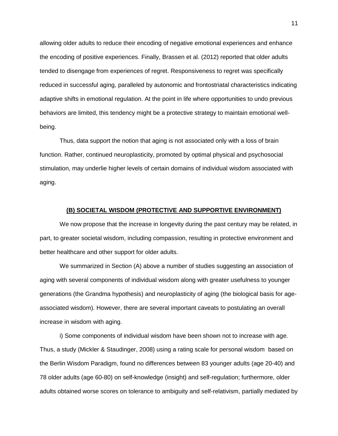allowing older adults to reduce their encoding of negative emotional experiences and enhance the encoding of positive experiences. Finally, Brassen et al. (2012) reported that older adults tended to disengage from experiences of regret. Responsiveness to regret was specifically reduced in successful aging, paralleled by autonomic and frontostriatal characteristics indicating adaptive shifts in emotional regulation. At the point in life where opportunities to undo previous behaviors are limited, this tendency might be a protective strategy to maintain emotional wellbeing.

Thus, data support the notion that aging is not associated only with a loss of brain function. Rather, continued neuroplasticity, promoted by optimal physical and psychosocial stimulation, may underlie higher levels of certain domains of individual wisdom associated with aging.

### **(B) SOCIETAL WISDOM (PROTECTIVE AND SUPPORTIVE ENVIRONMENT)**

We now propose that the increase in longevity during the past century may be related, in part, to greater societal wisdom, including compassion, resulting in protective environment and better healthcare and other support for older adults.

We summarized in Section (A) above a number of studies suggesting an association of aging with several components of individual wisdom along with greater usefulness to younger generations (the Grandma hypothesis) and neuroplasticity of aging (the biological basis for ageassociated wisdom). However, there are several important caveats to postulating an overall increase in wisdom with aging.

i) Some components of individual wisdom have been shown not to increase with age. Thus, a study (Mickler & Staudinger, 2008) using a rating scale for personal wisdom based on the Berlin Wisdom Paradigm, found no differences between 83 younger adults (age 20-40) and 78 older adults (age 60-80) on self-knowledge (insight) and self-regulation; furthermore, older adults obtained worse scores on tolerance to ambiguity and self-relativism, partially mediated by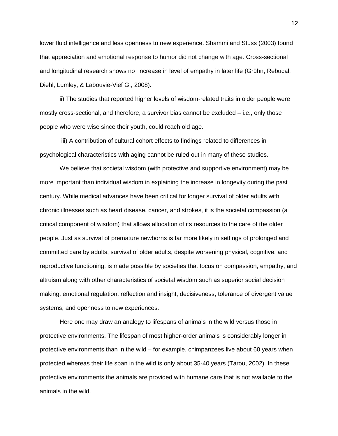lower fluid intelligence and less openness to new experience. Shammi and Stuss (2003) found that appreciation and emotional response to humor did not change with age. Cross-sectional and longitudinal research shows no increase in level of empathy in later life (Grühn, Rebucal, Diehl, Lumley, & Labouvie-Vief G., 2008).

ii) The studies that reported higher levels of wisdom-related traits in older people were mostly cross-sectional, and therefore, a survivor bias cannot be excluded – i.e., only those people who were wise since their youth, could reach old age.

iii) A contribution of cultural cohort effects to findings related to differences in psychological characteristics with aging cannot be ruled out in many of these studies.

We believe that societal wisdom (with protective and supportive environment) may be more important than individual wisdom in explaining the increase in longevity during the past century. While medical advances have been critical for longer survival of older adults with chronic illnesses such as heart disease, cancer, and strokes, it is the societal compassion (a critical component of wisdom) that allows allocation of its resources to the care of the older people. Just as survival of premature newborns is far more likely in settings of prolonged and committed care by adults, survival of older adults, despite worsening physical, cognitive, and reproductive functioning, is made possible by societies that focus on compassion, empathy, and altruism along with other characteristics of societal wisdom such as superior social decision making, emotional regulation, reflection and insight, decisiveness, tolerance of divergent value systems, and openness to new experiences.

Here one may draw an analogy to lifespans of animals in the wild versus those in protective environments. The lifespan of most higher-order animals is considerably longer in protective environments than in the wild – for example, chimpanzees live about 60 years when protected whereas their life span in the wild is only about 35-40 years (Tarou, 2002). In these protective environments the animals are provided with humane care that is not available to the animals in the wild.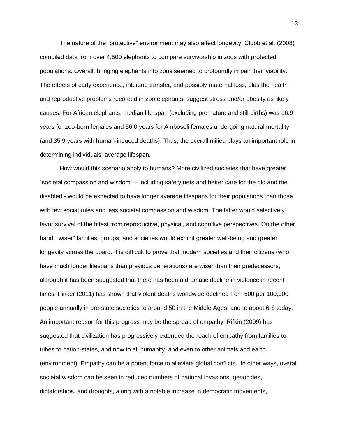The nature of the "protective" environment may also affect longevity. Clubb et al. (2008) compiled data from over 4,500 elephants to compare survivorship in zoos with protected populations. Overall, bringing elephants into zoos seemed to profoundly impair their viability. The effects of early experience, interzoo transfer, and possibly maternal loss, plus the health and reproductive problems recorded in zoo elephants, suggest stress and/or obesity as likely causes. For African elephants, median life span (excluding premature and still births) was 16.9 years for zoo-born females and 56.0 years for Amboseli females undergoing natural mortality (and 35.9 years with human-induced deaths). Thus, the overall milieu plays an important role in determining individuals' average lifespan.

How would this scenario apply to humans? More civilized societies that have greater "societal compassion and wisdom" – including safety nets and better care for the old and the disabled - would be expected to have longer average lifespans for their populations than those with few social rules and less societal compassion and wisdom. The latter would selectively favor survival of the fittest from reproductive, physical, and cognitive perspectives. On the other hand, "wiser" families, groups, and societies would exhibit greater well-being and greater longevity across the board. It is difficult to prove that modern societies and their citizens (who have much longer lifespans than previous generations) are wiser than their predecessors, although it has been suggested that there has been a dramatic decline in violence in recent times. Pinker (2011) has shown that violent deaths worldwide declined from 500 per 100,000 people annually in pre-state societies to around 50 in the Middle Ages, and to about 6-8 today. An important reason for this progress may be the spread of empathy. Rifkin (2009) has suggested that civilization has progressively extended the reach of empathy from families to tribes to nation-states, and now to all humanity, and even to other animals and earth (environment). Empathy can be a potent force to alleviate global conflicts. In other ways, overall societal wisdom can be seen in reduced numbers of national invasions, genocides, dictatorships, and droughts, along with a notable increase in democratic movements,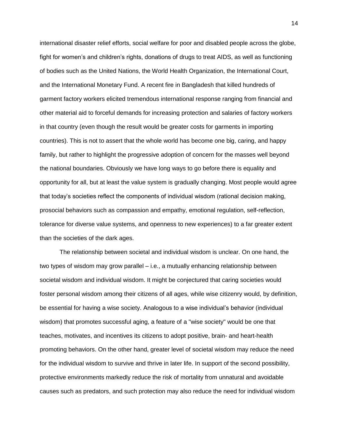international disaster relief efforts, social welfare for poor and disabled people across the globe, fight for women's and children's rights, donations of drugs to treat AIDS, as well as functioning of bodies such as the United Nations, the World Health Organization, the International Court, and the International Monetary Fund. A recent fire in Bangladesh that killed hundreds of garment factory workers elicited tremendous international response ranging from financial and other material aid to forceful demands for increasing protection and salaries of factory workers in that country (even though the result would be greater costs for garments in importing countries). This is not to assert that the whole world has become one big, caring, and happy family, but rather to highlight the progressive adoption of concern for the masses well beyond the national boundaries. Obviously we have long ways to go before there is equality and opportunity for all, but at least the value system is gradually changing. Most people would agree that today's societies reflect the components of individual wisdom (rational decision making, prosocial behaviors such as compassion and empathy, emotional regulation, self-reflection, tolerance for diverse value systems, and openness to new experiences) to a far greater extent than the societies of the dark ages.

The relationship between societal and individual wisdom is unclear. On one hand, the two types of wisdom may grow parallel – i.e., a mutually enhancing relationship between societal wisdom and individual wisdom. It might be conjectured that caring societies would foster personal wisdom among their citizens of all ages, while wise citizenry would, by definition, be essential for having a wise society. Analogous to a wise individual's behavior (individual wisdom) that promotes successful aging, a feature of a "wise society" would be one that teaches, motivates, and incentives its citizens to adopt positive, brain- and heart-health promoting behaviors. On the other hand, greater level of societal wisdom may reduce the need for the individual wisdom to survive and thrive in later life. In support of the second possibility, protective environments markedly reduce the risk of mortality from unnatural and avoidable causes such as predators, and such protection may also reduce the need for individual wisdom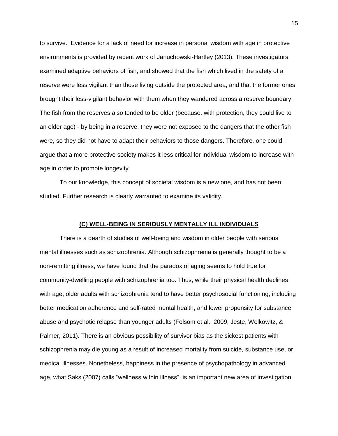to survive. Evidence for a lack of need for increase in personal wisdom with age in protective environments is provided by recent work of Januchowski-Hartley (2013). These investigators examined adaptive behaviors of fish, and showed that the fish which lived in the safety of a reserve were less vigilant than those living outside the protected area, and that the former ones brought their less-vigilant behavior with them when they wandered across a reserve boundary. The fish from the reserves also tended to be older (because, with protection, they could live to an older age) - by being in a reserve, they were not exposed to the dangers that the other fish were, so they did not have to adapt their behaviors to those dangers. Therefore, one could argue that a more protective society makes it less critical for individual wisdom to increase with age in order to promote longevity.

To our knowledge, this concept of societal wisdom is a new one, and has not been studied. Further research is clearly warranted to examine its validity.

### **(C) WELL-BEING IN SERIOUSLY MENTALLY ILL INDIVIDUALS**

 There is a dearth of studies of well-being and wisdom in older people with serious mental illnesses such as schizophrenia. Although schizophrenia is generally thought to be a non-remitting illness, we have found that the paradox of aging seems to hold true for community-dwelling people with schizophrenia too. Thus, while their physical health declines with age, older adults with schizophrenia tend to have better psychosocial functioning, including better medication adherence and self-rated mental health, and lower propensity for substance abuse and psychotic relapse than younger adults (Folsom et al., 2009; Jeste, Wolkowitz, & Palmer, 2011). There is an obvious possibility of survivor bias as the sickest patients with schizophrenia may die young as a result of increased mortality from suicide, substance use, or medical illnesses. Nonetheless, happiness in the presence of psychopathology in advanced age, what Saks (2007) calls "wellness within illness", is an important new area of investigation.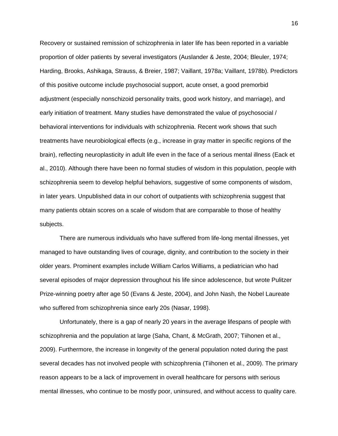Recovery or sustained remission of schizophrenia in later life has been reported in a variable proportion of older patients by several investigators (Auslander & Jeste, 2004; Bleuler, 1974; Harding, Brooks, Ashikaga, Strauss, & Breier, 1987; Vaillant, 1978a; Vaillant, 1978b). Predictors of this positive outcome include psychosocial support, acute onset, a good premorbid adjustment (especially nonschizoid personality traits, good work history, and marriage), and early initiation of treatment. Many studies have demonstrated the value of psychosocial / behavioral interventions for individuals with schizophrenia. Recent work shows that such treatments have neurobiological effects (e.g., increase in gray matter in specific regions of the brain), reflecting neuroplasticity in adult life even in the face of a serious mental illness (Eack et al., 2010). Although there have been no formal studies of wisdom in this population, people with schizophrenia seem to develop helpful behaviors, suggestive of some components of wisdom, in later years. Unpublished data in our cohort of outpatients with schizophrenia suggest that many patients obtain scores on a scale of wisdom that are comparable to those of healthy subjects.

There are numerous individuals who have suffered from life-long mental illnesses, yet managed to have outstanding lives of courage, dignity, and contribution to the society in their older years. Prominent examples include William Carlos Williams, a pediatrician who had several episodes of major depression throughout his life since adolescence, but wrote Pulitzer Prize-winning poetry after age 50 (Evans & Jeste, 2004), and John Nash, the Nobel Laureate who suffered from schizophrenia since early 20s (Nasar, 1998).

Unfortunately, there is a gap of nearly 20 years in the average lifespans of people with schizophrenia and the population at large (Saha, Chant, & McGrath, 2007; Tiihonen et al., 2009). Furthermore, the increase in longevity of the general population noted during the past several decades has not involved people with schizophrenia (Tiihonen et al., 2009). The primary reason appears to be a lack of improvement in overall healthcare for persons with serious mental illnesses, who continue to be mostly poor, uninsured, and without access to quality care.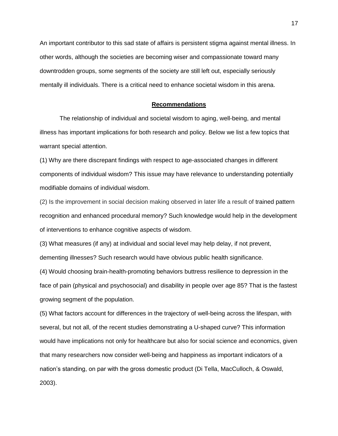An important contributor to this sad state of affairs is persistent stigma against mental illness. In other words, although the societies are becoming wiser and compassionate toward many downtrodden groups, some segments of the society are still left out, especially seriously mentally ill individuals. There is a critical need to enhance societal wisdom in this arena.

#### **Recommendations**

The relationship of individual and societal wisdom to aging, well-being, and mental illness has important implications for both research and policy. Below we list a few topics that warrant special attention.

(1) Why are there discrepant findings with respect to age-associated changes in different components of individual wisdom? This issue may have relevance to understanding potentially modifiable domains of individual wisdom.

(2) Is the improvement in social decision making observed in later life a result of trained pattern recognition and enhanced procedural memory? Such knowledge would help in the development of interventions to enhance cognitive aspects of wisdom.

(3) What measures (if any) at individual and social level may help delay, if not prevent,

dementing illnesses? Such research would have obvious public health significance.

(4) Would choosing brain-health-promoting behaviors buttress resilience to depression in the face of pain (physical and psychosocial) and disability in people over age 85? That is the fastest growing segment of the population.

(5) What factors account for differences in the trajectory of well-being across the lifespan, with several, but not all, of the recent studies demonstrating a U-shaped curve? This information would have implications not only for healthcare but also for social science and economics, given that many researchers now consider well-being and happiness as important indicators of a nation's standing, on par with the gross domestic product (Di Tella, MacCulloch, & Oswald, 2003).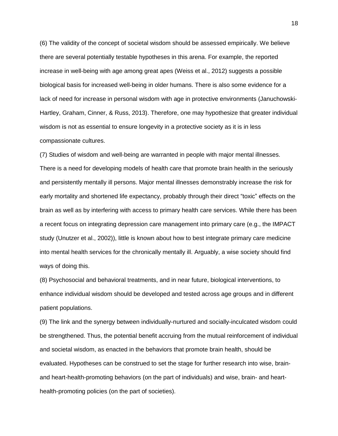(6) The validity of the concept of societal wisdom should be assessed empirically. We believe there are several potentially testable hypotheses in this arena. For example, the reported increase in well-being with age among great apes (Weiss et al., 2012) suggests a possible biological basis for increased well-being in older humans. There is also some evidence for a lack of need for increase in personal wisdom with age in protective environments (Januchowski-Hartley, Graham, Cinner, & Russ, 2013). Therefore, one may hypothesize that greater individual wisdom is not as essential to ensure longevity in a protective society as it is in less compassionate cultures.

(7) Studies of wisdom and well-being are warranted in people with major mental illnesses. There is a need for developing models of health care that promote brain health in the seriously and persistently mentally ill persons. Major mental illnesses demonstrably increase the risk for early mortality and shortened life expectancy, probably through their direct "toxic" effects on the brain as well as by interfering with access to primary health care services. While there has been a recent focus on integrating depression care management into primary care (e.g., the IMPACT study (Unutzer et al., 2002)), little is known about how to best integrate primary care medicine into mental health services for the chronically mentally ill. Arguably, a wise society should find ways of doing this.

(8) Psychosocial and behavioral treatments, and in near future, biological interventions, to enhance individual wisdom should be developed and tested across age groups and in different patient populations.

(9) The link and the synergy between individually-nurtured and socially-inculcated wisdom could be strengthened. Thus, the potential benefit accruing from the mutual reinforcement of individual and societal wisdom, as enacted in the behaviors that promote brain health, should be evaluated. Hypotheses can be construed to set the stage for further research into wise, brainand heart-health-promoting behaviors (on the part of individuals) and wise, brain- and hearthealth-promoting policies (on the part of societies).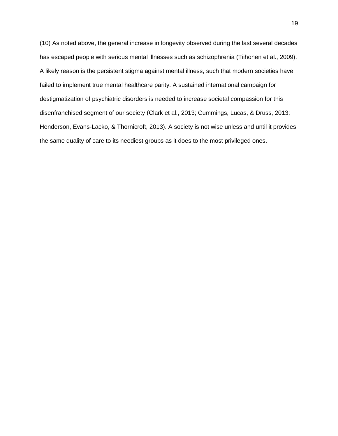(10) As noted above, the general increase in longevity observed during the last several decades has escaped people with serious mental illnesses such as schizophrenia (Tiihonen et al., 2009). A likely reason is the persistent stigma against mental illness, such that modern societies have failed to implement true mental healthcare parity. A sustained international campaign for destigmatization of psychiatric disorders is needed to increase societal compassion for this disenfranchised segment of our society (Clark et al., 2013; Cummings, Lucas, & Druss, 2013; Henderson, Evans-Lacko, & Thornicroft, 2013). A society is not wise unless and until it provides the same quality of care to its neediest groups as it does to the most privileged ones.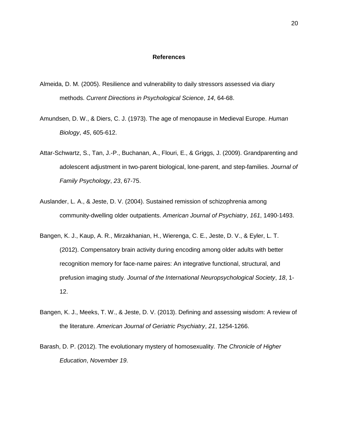#### **References**

- Almeida, D. M. (2005). Resilience and vulnerability to daily stressors assessed via diary methods. *Current Directions in Psychological Science*, *14*, 64-68.
- Amundsen, D. W., & Diers, C. J. (1973). The age of menopause in Medieval Europe. *Human Biology*, *45*, 605-612.
- Attar-Schwartz, S., Tan, J.-P., Buchanan, A., Flouri, E., & Griggs, J. (2009). Grandparenting and adolescent adjustment in two-parent biological, lone-parent, and step-families. *Journal of Family Psychology*, *23*, 67-75.
- Auslander, L. A., & Jeste, D. V. (2004). Sustained remission of schizophrenia among community-dwelling older outpatients. *American Journal of Psychiatry*, *161*, 1490-1493.
- Bangen, K. J., Kaup, A. R., Mirzakhanian, H., Wierenga, C. E., Jeste, D. V., & Eyler, L. T. (2012). Compensatory brain activity during encoding among older adults with better recognition memory for face-name paires: An integrative functional, structural, and prefusion imaging study. *Journal of the International Neuropsychological Society*, *18*, 1- 12.
- Bangen, K. J., Meeks, T. W., & Jeste, D. V. (2013). Defining and assessing wisdom: A review of the literature. *American Journal of Geriatric Psychiatry*, *21*, 1254-1266.
- Barash, D. P. (2012). The evolutionary mystery of homosexuality. *The Chronicle of Higher Education*, *November 19*.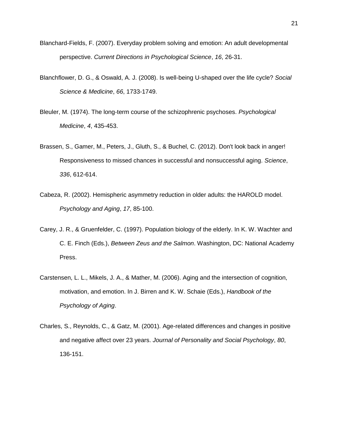- Blanchard-Fields, F. (2007). Everyday problem solving and emotion: An adult developmental perspective. *Current Directions in Psychological Science*, *16*, 26-31.
- Blanchflower, D. G., & Oswald, A. J. (2008). Is well-being U-shaped over the life cycle? *Social Science & Medicine*, *66*, 1733-1749.
- Bleuler, M. (1974). The long-term course of the schizophrenic psychoses. *Psychological Medicine*, *4*, 435-453.
- Brassen, S., Gamer, M., Peters, J., Gluth, S., & Buchel, C. (2012). Don't look back in anger! Responsiveness to missed chances in successful and nonsuccessful aging. *Science*, *336*, 612-614.
- Cabeza, R. (2002). Hemispheric asymmetry reduction in older adults: the HAROLD model. *Psychology and Aging*, *17*, 85-100.
- Carey, J. R., & Gruenfelder, C. (1997). Population biology of the elderly. In K. W. Wachter and C. E. Finch (Eds.), *Between Zeus and the Salmon*. Washington, DC: National Academy Press.
- Carstensen, L. L., Mikels, J. A., & Mather, M. (2006). Aging and the intersection of cognition, motivation, and emotion. In J. Birren and K. W. Schaie (Eds.), *Handbook of the Psychology of Aging*.
- Charles, S., Reynolds, C., & Gatz, M. (2001). Age-related differences and changes in positive and negative affect over 23 years. *Journal of Personality and Social Psychology*, *80*, 136-151.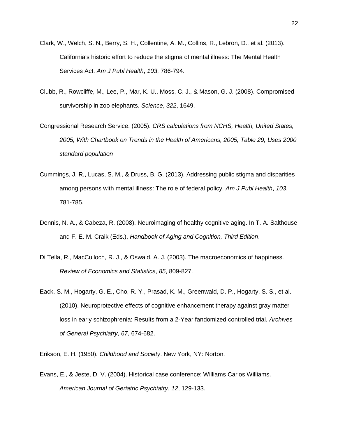- Clark, W., Welch, S. N., Berry, S. H., Collentine, A. M., Collins, R., Lebron, D., et al. (2013). California's historic effort to reduce the stigma of mental illness: The Mental Health Services Act. *Am J Publ Health*, *103*, 786-794.
- Clubb, R., Rowcliffe, M., Lee, P., Mar, K. U., Moss, C. J., & Mason, G. J. (2008). Compromised survivorship in zoo elephants. *Science*, *322*, 1649.
- Congressional Research Service. (2005). *CRS calculations from NCHS, Health, United States, 2005, With Chartbook on Trends in the Health of Americans, 2005, Table 29, Uses 2000 standard population*
- Cummings, J. R., Lucas, S. M., & Druss, B. G. (2013). Addressing public stigma and disparities among persons with mental illness: The role of federal policy. *Am J Publ Health*, *103*, 781-785.
- Dennis, N. A., & Cabeza, R. (2008). Neuroimaging of healthy cognitive aging. In T. A. Salthouse and F. E. M. Craik (Eds.), *Handbook of Aging and Cognition, Third Edition*.
- Di Tella, R., MacCulloch, R. J., & Oswald, A. J. (2003). The macroeconomics of happiness. *Review of Economics and Statistics*, *85*, 809-827.
- Eack, S. M., Hogarty, G. E., Cho, R. Y., Prasad, K. M., Greenwald, D. P., Hogarty, S. S., et al. (2010). Neuroprotective effects of cognitive enhancement therapy against gray matter loss in early schizophrenia: Results from a 2-Year fandomized controlled trial. *Archives of General Psychiatry*, *67*, 674-682.

Erikson, E. H. (1950). *Childhood and Society*. New York, NY: Norton.

Evans, E., & Jeste, D. V. (2004). Historical case conference: Williams Carlos Williams. *American Journal of Geriatric Psychiatry*, *12*, 129-133.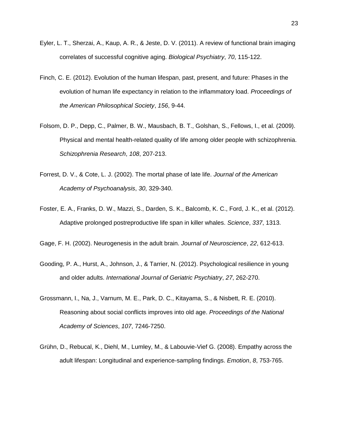- Eyler, L. T., Sherzai, A., Kaup, A. R., & Jeste, D. V. (2011). A review of functional brain imaging correlates of successful cognitive aging. *Biological Psychiatry*, *70*, 115-122.
- Finch, C. E. (2012). Evolution of the human lifespan, past, present, and future: Phases in the evolution of human life expectancy in relation to the inflammatory load. *Proceedings of the American Philosophical Society*, *156*, 9-44.
- Folsom, D. P., Depp, C., Palmer, B. W., Mausbach, B. T., Golshan, S., Fellows, I., et al. (2009). Physical and mental health-related quality of life among older people with schizophrenia. *Schizophrenia Research*, *108*, 207-213.
- Forrest, D. V., & Cote, L. J. (2002). The mortal phase of late life. *Journal of the American Academy of Psychoanalysis*, *30*, 329-340.
- Foster, E. A., Franks, D. W., Mazzi, S., Darden, S. K., Balcomb, K. C., Ford, J. K., et al. (2012). Adaptive prolonged postreproductive life span in killer whales. *Science*, *337*, 1313.
- Gage, F. H. (2002). Neurogenesis in the adult brain. *Journal of Neuroscience*, *22*, 612-613.
- Gooding, P. A., Hurst, A., Johnson, J., & Tarrier, N. (2012). Psychological resilience in young and older adults. *International Journal of Geriatric Psychiatry*, *27*, 262-270.
- Grossmann, I., Na, J., Varnum, M. E., Park, D. C., Kitayama, S., & Nisbett, R. E. (2010). Reasoning about social conflicts improves into old age. *Proceedings of the National Academy of Sciences*, *107*, 7246-7250.
- Grühn, D., Rebucal, K., Diehl, M., Lumley, M., & Labouvie-Vief G. (2008). Empathy across the adult lifespan: Longitudinal and experience-sampling findings. *Emotion*, *8*, 753-765.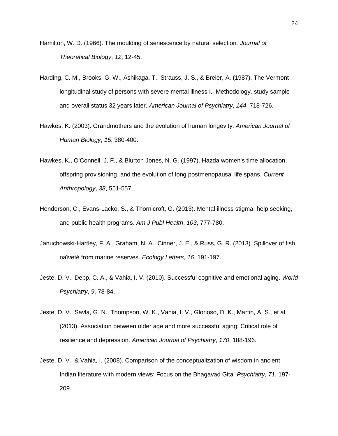- Hamilton, W. D. (1966). The moulding of senescence by natural selection. *Journal of Theoretical Biology*, *12*, 12-45.
- Harding, C. M., Brooks, G. W., Ashikaga, T., Strauss, J. S., & Breier, A. (1987). The Vermont longitudinal study of persons with severe mental illness I. Methodology, study sample and overall status 32 years later. *American Journal of Psychiatry*, *144*, 718-726.
- Hawkes, K. (2003). Grandmothers and the evolution of human longevity. *American Journal of Human Biology*, *15*, 380-400.
- Hawkes, K., O'Connell, J. F., & Blurton Jones, N. G. (1997). Hazda women's time allocation, offspring provisioning, and the evolution of long postmenopausal life spans. *Current Anthropology*, *38*, 551-557.
- Henderson, C., Evans-Lacko, S., & Thornicroft, G. (2013). Mental illness stigma, help seeking, and public health programs. *Am J Publ Health*, *103*, 777-780.
- Januchowski-Hartley, F. A., Graham, N. A., Cinner, J. E., & Russ, G. R. (2013). Spillover of fish naïveté from marine reserves. *Ecology Letters*, *16*, 191-197.
- Jeste, D. V., Depp, C. A., & Vahia, I. V. (2010). Successful cognitive and emotional aging. *World Psychiatry*, *9*, 78-84.
- Jeste, D. V., Savla, G. N., Thompson, W. K., Vahia, I. V., Glorioso, D. K., Martin, A. S., et al. (2013). Association between older age and more successful aging: Critical role of resilience and depression. *American Journal of Psychiatry*, *170*, 188-196.
- Jeste, D. V., & Vahia, I. (2008). Comparison of the conceptualization of wisdom in ancient Indian literature with modern views: Focus on the Bhagavad Gita. *Psychiatry*, *71*, 197- 209.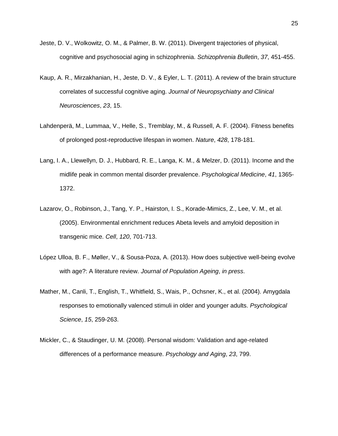- Jeste, D. V., Wolkowitz, O. M., & Palmer, B. W. (2011). Divergent trajectories of physical, cognitive and psychosocial aging in schizophrenia. *Schizophrenia Bulletin*, *37*, 451-455.
- Kaup, A. R., Mirzakhanian, H., Jeste, D. V., & Eyler, L. T. (2011). A review of the brain structure correlates of successful cognitive aging. *Journal of Neuropsychiatry and Clinical Neurosciences*, *23*, 15.
- Lahdenperä, M., Lummaa, V., Helle, S., Tremblay, M., & Russell, A. F. (2004). Fitness benefits of prolonged post-reproductive lifespan in women. *Nature*, *428*, 178-181.
- Lang, I. A., Llewellyn, D. J., Hubbard, R. E., Langa, K. M., & Melzer, D. (2011). Income and the midlife peak in common mental disorder prevalence. *Psychological Medicine*, *41*, 1365- 1372.
- Lazarov, O., Robinson, J., Tang, Y. P., Hairston, I. S., Korade-Mimics, Z., Lee, V. M., et al. (2005). Environmental enrichment reduces Abeta levels and amyloid deposition in transgenic mice. *Cell*, *120*, 701-713.
- López Ulloa, B. F., Møller, V., & Sousa-Poza, A. (2013). How does subjective well-being evolve with age?: A literature review. *Journal of Population Ageing*, *in press*.
- Mather, M., Canli, T., English, T., Whitfield, S., Wais, P., Ochsner, K., et al. (2004). Amygdala responses to emotionally valenced stimuli in older and younger adults. *Psychological Science*, *15*, 259-263.
- Mickler, C., & Staudinger, U. M. (2008). Personal wisdom: Validation and age-related differences of a performance measure. *Psychology and Aging*, *23*, 799.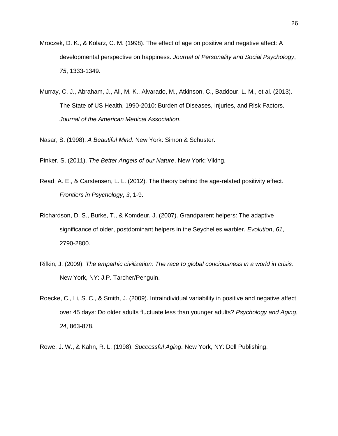- Mroczek, D. K., & Kolarz, C. M. (1998). The effect of age on positive and negative affect: A developmental perspective on happiness. *Journal of Personality and Social Psychology*, *75*, 1333-1349.
- Murray, C. J., Abraham, J., Ali, M. K., Alvarado, M., Atkinson, C., Baddour, L. M., et al. (2013). The State of US Health, 1990-2010: Burden of Diseases, Injuries, and Risk Factors. *Journal of the American Medical Association*.

Nasar, S. (1998). *A Beautiful Mind*. New York: Simon & Schuster.

Pinker, S. (2011). *The Better Angels of our Nature*. New York: Viking.

- Read, A. E., & Carstensen, L. L. (2012). The theory behind the age-related positivity effect. *Frontiers in Psychology*, *3*, 1-9.
- Richardson, D. S., Burke, T., & Komdeur, J. (2007). Grandparent helpers: The adaptive significance of older, postdominant helpers in the Seychelles warbler. *Evolution*, *61*, 2790-2800.
- Rifkin, J. (2009). *The empathic civilization: The race to global conciousness in a world in crisis*. New York, NY: J.P. Tarcher/Penguin.
- Roecke, C., Li, S. C., & Smith, J. (2009). Intraindividual variability in positive and negative affect over 45 days: Do older adults fluctuate less than younger adults? *Psychology and Aging*, *24*, 863-878.

Rowe, J. W., & Kahn, R. L. (1998). *Successful Aging*. New York, NY: Dell Publishing.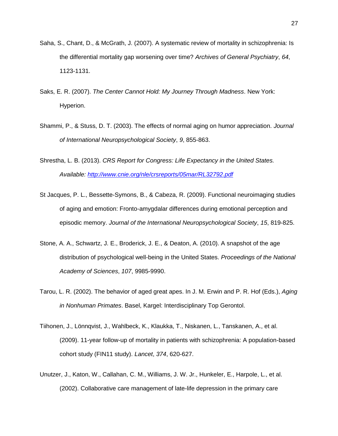- Saha, S., Chant, D., & McGrath, J. (2007). A systematic review of mortality in schizophrenia: Is the differential mortality gap worsening over time? *Archives of General Psychiatry*, *64*, 1123-1131.
- Saks, E. R. (2007). *The Center Cannot Hold: My Journey Through Madness*. New York: Hyperion.
- Shammi, P., & Stuss, D. T. (2003). The effects of normal aging on humor appreciation. *Journal of International Neuropsychological Society*, *9*, 855-863.
- Shrestha, L. B. (2013). *CRS Report for Congress: Life Expectancy in the United States. Available:<http://www.cnie.org/nle/crsreports/05mar/RL32792.pdf>*
- St Jacques, P. L., Bessette-Symons, B., & Cabeza, R. (2009). Functional neuroimaging studies of aging and emotion: Fronto-amygdalar differences during emotional perception and episodic memory. *Journal of the International Neuropsychological Society*, *15*, 819-825.
- Stone, A. A., Schwartz, J. E., Broderick, J. E., & Deaton, A. (2010). A snapshot of the age distribution of psychological well-being in the United States. *Proceedings of the National Academy of Sciences*, *107*, 9985-9990.
- Tarou, L. R. (2002). The behavior of aged great apes. In J. M. Erwin and P. R. Hof (Eds.), *Aging in Nonhuman Primates*. Basel, Kargel: Interdisciplinary Top Gerontol.
- Tiihonen, J., Lönnqvist, J., Wahlbeck, K., Klaukka, T., Niskanen, L., Tanskanen, A., et al. (2009). 11-year follow-up of mortality in patients with schizophrenia: A population-based cohort study (FIN11 study). *Lancet*, *374*, 620-627.
- Unutzer, J., Katon, W., Callahan, C. M., Williams, J. W. Jr., Hunkeler, E., Harpole, L., et al. (2002). Collaborative care management of late-life depression in the primary care